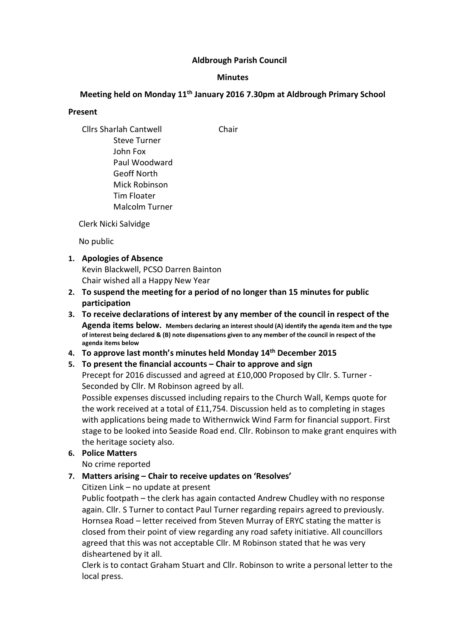### Aldbrough Parish Council

#### **Minutes**

# Meeting held on Monday 11<sup>th</sup> January 2016 7.30pm at Aldbrough Primary School

### Present

Cllrs Sharlah Cantwell Chair Steve Turner John Fox Paul Woodward Geoff North Mick Robinson Tim Floater Malcolm Turner

Clerk Nicki Salvidge

No public

## 1. Apologies of Absence

Kevin Blackwell, PCSO Darren Bainton Chair wished all a Happy New Year

- 2. To suspend the meeting for a period of no longer than 15 minutes for public participation
- 3. To receive declarations of interest by any member of the council in respect of the Agenda items below. Members declaring an interest should (A) identify the agenda item and the type of interest being declared & (B) note dispensations given to any member of the council in respect of the agenda items below
- 4. To approve last month's minutes held Monday 14<sup>th</sup> December 2015
- 5. To present the financial accounts Chair to approve and sign

Precept for 2016 discussed and agreed at £10,000 Proposed by Cllr. S. Turner - Seconded by Cllr. M Robinson agreed by all.

Possible expenses discussed including repairs to the Church Wall, Kemps quote for the work received at a total of £11,754. Discussion held as to completing in stages with applications being made to Withernwick Wind Farm for financial support. First stage to be looked into Seaside Road end. Cllr. Robinson to make grant enquires with the heritage society also.

6. Police Matters

No crime reported

7. Matters arising – Chair to receive updates on 'Resolves'

Citizen Link – no update at present

Public footpath – the clerk has again contacted Andrew Chudley with no response again. Cllr. S Turner to contact Paul Turner regarding repairs agreed to previously. Hornsea Road – letter received from Steven Murray of ERYC stating the matter is closed from their point of view regarding any road safety initiative. All councillors agreed that this was not acceptable Cllr. M Robinson stated that he was very disheartened by it all.

Clerk is to contact Graham Stuart and Cllr. Robinson to write a personal letter to the local press.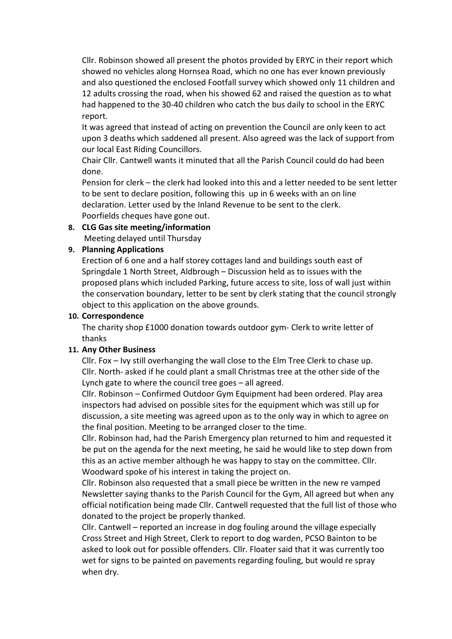Cllr. Robinson showed all present the photos provided by ERYC in their report which showed no vehicles along Hornsea Road, which no one has ever known previously and also questioned the enclosed Footfall survey which showed only 11 children and 12 adults crossing the road, when his showed 62 and raised the question as to what had happened to the 30-40 children who catch the bus daily to school in the ERYC report.

It was agreed that instead of acting on prevention the Council are only keen to act upon 3 deaths which saddened all present. Also agreed was the lack of support from our local East Riding Councillors.

Chair Cllr. Cantwell wants it minuted that all the Parish Council could do had been done.

Pension for clerk – the clerk had looked into this and a letter needed to be sent letter to be sent to declare position, following this up in 6 weeks with an on line declaration. Letter used by the Inland Revenue to be sent to the clerk. Poorfields cheques have gone out.

#### 8. CLG Gas site meeting/information Meeting delayed until Thursday

## 9. Planning Applications

Erection of 6 one and a half storey cottages land and buildings south east of Springdale 1 North Street, Aldbrough – Discussion held as to issues with the proposed plans which included Parking, future access to site, loss of wall just within the conservation boundary, letter to be sent by clerk stating that the council strongly object to this application on the above grounds.

### 10. Correspondence

The charity shop £1000 donation towards outdoor gym- Clerk to write letter of thanks

## 11. Any Other Business

Cllr. Fox – Ivy still overhanging the wall close to the Elm Tree Clerk to chase up. Cllr. North- asked if he could plant a small Christmas tree at the other side of the Lynch gate to where the council tree goes – all agreed.

Cllr. Robinson – Confirmed Outdoor Gym Equipment had been ordered. Play area inspectors had advised on possible sites for the equipment which was still up for discussion, a site meeting was agreed upon as to the only way in which to agree on the final position. Meeting to be arranged closer to the time.

Cllr. Robinson had, had the Parish Emergency plan returned to him and requested it be put on the agenda for the next meeting, he said he would like to step down from this as an active member although he was happy to stay on the committee. Cllr. Woodward spoke of his interest in taking the project on.

Cllr. Robinson also requested that a small piece be written in the new re vamped Newsletter saying thanks to the Parish Council for the Gym, All agreed but when any official notification being made Cllr. Cantwell requested that the full list of those who donated to the project be properly thanked.

Cllr. Cantwell – reported an increase in dog fouling around the village especially Cross Street and High Street, Clerk to report to dog warden, PCSO Bainton to be asked to look out for possible offenders. Cllr. Floater said that it was currently too wet for signs to be painted on pavements regarding fouling, but would re spray when dry.